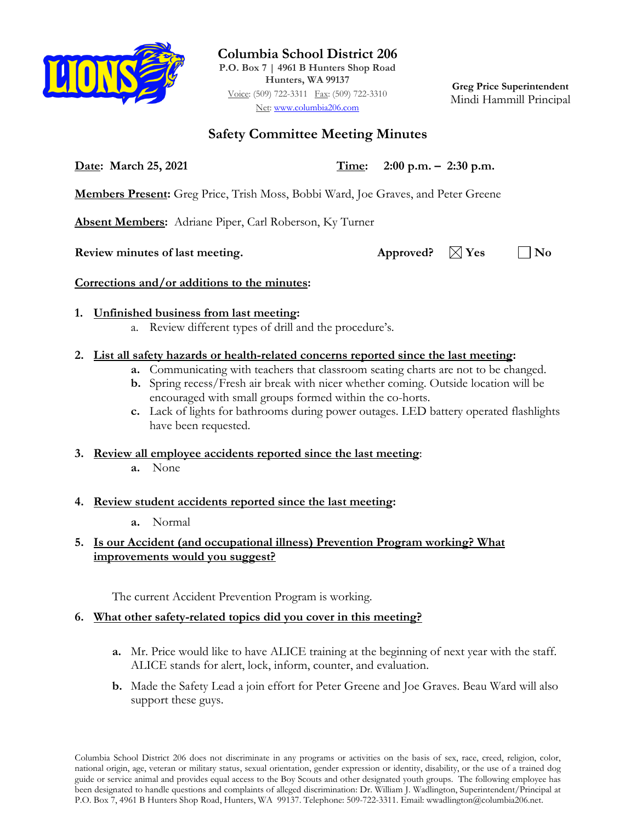

**Columbia School District 206**

**P.O. Box 7 | 4961 B Hunters Shop Road Hunters, WA 99137** Voice: (509) 722-3311 Fax: (509) 722-3310 Net: [www.columbia206.com](http://www.columbia206.com/)

**Greg Price Superintendent** Mindi Hammill Principal

# **Safety Committee Meeting Minutes**

**Date: March 25, 2021 Time: 2:00 p.m. – 2:30 p.m.**

**Members Present:** Greg Price, Trish Moss, Bobbi Ward, Joe Graves, and Peter Greene

**Absent Members:** Adriane Piper, Carl Roberson, Ky Turner

**Review minutes of last meeting.** Approved?  $\boxtimes$  Yes  $\Box$  No

**Corrections and/or additions to the minutes:**

## **1. Unfinished business from last meeting:**

a. Review different types of drill and the procedure's.

# **2. List all safety hazards or health-related concerns reported since the last meeting:**

- **a.** Communicating with teachers that classroom seating charts are not to be changed.
- **b.** Spring recess/Fresh air break with nicer whether coming. Outside location will be encouraged with small groups formed within the co-horts.
- **c.** Lack of lights for bathrooms during power outages. LED battery operated flashlights have been requested.
- **3. Review all employee accidents reported since the last meeting**:
	- **a.** None

## **4. Review student accidents reported since the last meeting:**

**a.** Normal

### **5. Is our Accident (and occupational illness) Prevention Program working? What improvements would you suggest?**

The current Accident Prevention Program is working.

# **6. What other safety-related topics did you cover in this meeting?**

- **a.** Mr. Price would like to have ALICE training at the beginning of next year with the staff. ALICE stands for alert, lock, inform, counter, and evaluation.
- **b.** Made the Safety Lead a join effort for Peter Greene and Joe Graves. Beau Ward will also support these guys.